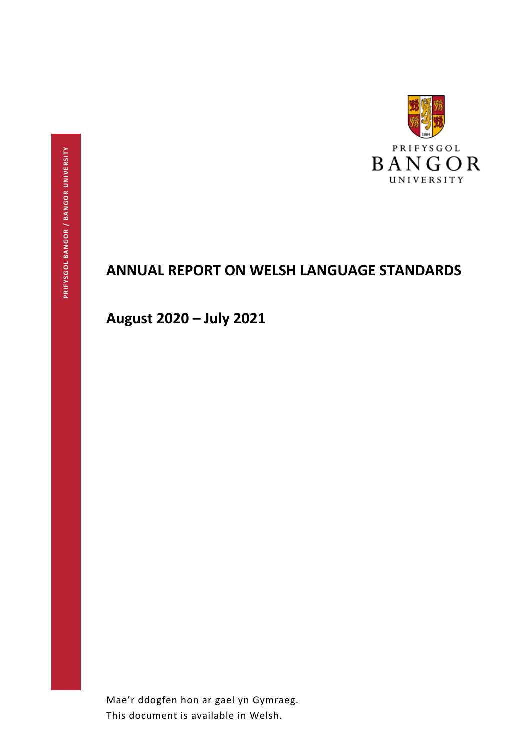

# **ANNUAL REPORT ON WELSH LANGUAGE STANDARDS**

**August 2020 – July 2021**

Mae'r ddogfen hon ar gael yn Gymraeg. This document is available in Welsh.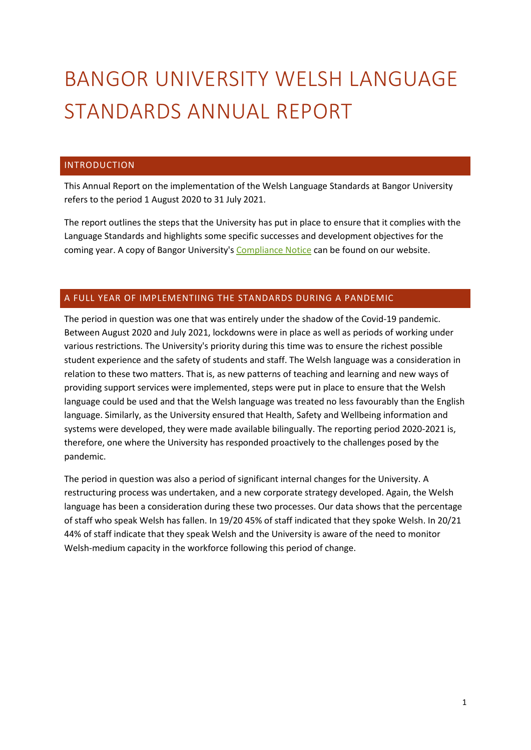# BANGOR UNIVERSITY WELSH LANGUAGE STANDARDS ANNUAL REPORT

# INTRODUCTION

This Annual Report on the implementation of the Welsh Language Standards at Bangor University refers to the period 1 August 2020 to 31 July 2021.

The report outlines the steps that the University has put in place to ensure that it complies with the Language Standards and highlights some specific successes and development objectives for the coming year. A copy of Bangor University's [Compliance Notice](https://my.bangor.ac.uk/canolfanbedwyr/pdf/hysbysiad_cydymffurfio_PB_eng.pdf) can be found on our website.

# A FULL YEAR OF IMPLEMENTIING THE STANDARDS DURING A PANDEMIC

The period in question was one that was entirely under the shadow of the Covid-19 pandemic. Between August 2020 and July 2021, lockdowns were in place as well as periods of working under various restrictions. The University's priority during this time was to ensure the richest possible student experience and the safety of students and staff. The Welsh language was a consideration in relation to these two matters. That is, as new patterns of teaching and learning and new ways of providing support services were implemented, steps were put in place to ensure that the Welsh language could be used and that the Welsh language was treated no less favourably than the English language. Similarly, as the University ensured that Health, Safety and Wellbeing information and systems were developed, they were made available bilingually. The reporting period 2020-2021 is, therefore, one where the University has responded proactively to the challenges posed by the pandemic.

The period in question was also a period of significant internal changes for the University. A restructuring process was undertaken, and a new corporate strategy developed. Again, the Welsh language has been a consideration during these two processes. Our data shows that the percentage of staff who speak Welsh has fallen. In 19/20 45% of staff indicated that they spoke Welsh. In 20/21 44% of staff indicate that they speak Welsh and the University is aware of the need to monitor Welsh-medium capacity in the workforce following this period of change.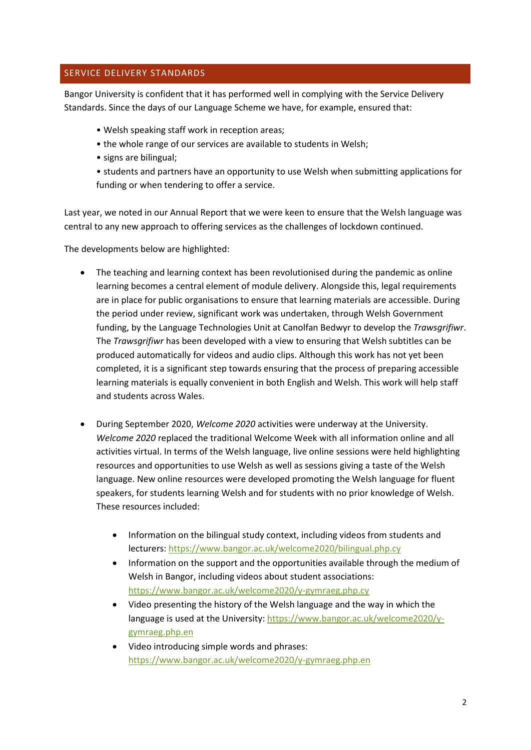# SERVICE DELIVERY STANDARDS

Bangor University is confident that it has performed well in complying with the Service Delivery Standards. Since the days of our Language Scheme we have, for example, ensured that:

- Welsh speaking staff work in reception areas;
- the whole range of our services are available to students in Welsh;
- signs are bilingual;
- students and partners have an opportunity to use Welsh when submitting applications for funding or when tendering to offer a service.

Last year, we noted in our Annual Report that we were keen to ensure that the Welsh language was central to any new approach to offering services as the challenges of lockdown continued.

The developments below are highlighted:

- The teaching and learning context has been revolutionised during the pandemic as online learning becomes a central element of module delivery. Alongside this, legal requirements are in place for public organisations to ensure that learning materials are accessible. During the period under review, significant work was undertaken, through Welsh Government funding, by the Language Technologies Unit at Canolfan Bedwyr to develop the *Trawsgrifiwr*. The *Trawsgrifiwr* has been developed with a view to ensuring that Welsh subtitles can be produced automatically for videos and audio clips. Although this work has not yet been completed, it is a significant step towards ensuring that the process of preparing accessible learning materials is equally convenient in both English and Welsh. This work will help staff and students across Wales.
- During September 2020, *Welcome 2020* activities were underway at the University. *Welcome 2020* replaced the traditional Welcome Week with all information online and all activities virtual. In terms of the Welsh language, live online sessions were held highlighting resources and opportunities to use Welsh as well as sessions giving a taste of the Welsh language. New online resources were developed promoting the Welsh language for fluent speakers, for students learning Welsh and for students with no prior knowledge of Welsh. These resources included:
	- Information on the bilingual study context, including videos from students and lecturers:<https://www.bangor.ac.uk/welcome2020/bilingual.php.cy>
	- Information on the support and the opportunities available through the medium of Welsh in Bangor, including videos about student associations: <https://www.bangor.ac.uk/welcome2020/y-gymraeg.php.cy>
	- Video presenting the history of the Welsh language and the way in which the language is used at the University: [https://www.bangor.ac.uk/welcome2020/y](https://www.bangor.ac.uk/welcome2020/y-gymraeg.php.en)[gymraeg.php.en](https://www.bangor.ac.uk/welcome2020/y-gymraeg.php.en)
	- Video introducing simple words and phrases: <https://www.bangor.ac.uk/welcome2020/y-gymraeg.php.en>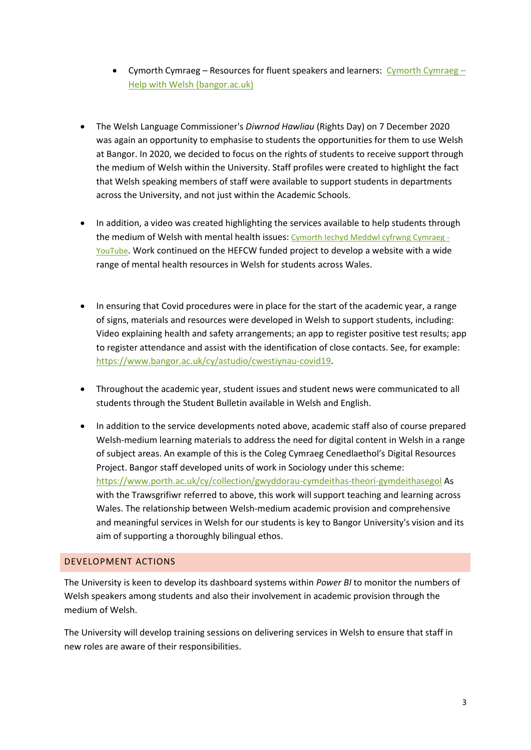- Cymorth Cymraeg Resources for fluent speakers and learners: [Cymorth Cymraeg](https://www.bangor.ac.uk/cymorthcymraeg/)  [Help with Welsh \(bangor.ac.uk\)](https://www.bangor.ac.uk/cymorthcymraeg/)
- The Welsh Language Commissioner's *Diwrnod Hawliau* (Rights Day) on 7 December 2020 was again an opportunity to emphasise to students the opportunities for them to use Welsh at Bangor. In 2020, we decided to focus on the rights of students to receive support through the medium of Welsh within the University. Staff profiles were created to highlight the fact that Welsh speaking members of staff were available to support students in departments across the University, and not just within the Academic Schools.
- In addition, a video was created highlighting the services available to help students through the medium of Welsh with mental health issues: [Cymorth Iechyd Meddwl cyfrwng Cymraeg -](https://eur01.safelinks.protection.outlook.com/?url=https%3A%2F%2Fwww.youtube.com%2Fwatch%3Fv%3Dy3gccdAJfFQ%26feature%3Dyoutu.be&data=04%7C01%7Cl.a.hughes%40bangor.ac.uk%7C043582ee8b7f4f67856808d89abd2714%7Cc6474c55a9234d2a9bd4ece37148dbb2%7C0%7C0%7C637429484666658274%7CUnknown%7CTWFpbGZsb3d8eyJWIjoiMC4wLjAwMDAiLCJQIjoiV2luMzIiLCJBTiI6Ik1haWwiLCJXVCI6Mn0%3D%7C1000&sdata=ElnvftxHuo280sZlY46NFC6OHGRZHGttPZ6hXDrXTUA%3D&reserved=0) [YouTube](https://eur01.safelinks.protection.outlook.com/?url=https%3A%2F%2Fwww.youtube.com%2Fwatch%3Fv%3Dy3gccdAJfFQ%26feature%3Dyoutu.be&data=04%7C01%7Cl.a.hughes%40bangor.ac.uk%7C043582ee8b7f4f67856808d89abd2714%7Cc6474c55a9234d2a9bd4ece37148dbb2%7C0%7C0%7C637429484666658274%7CUnknown%7CTWFpbGZsb3d8eyJWIjoiMC4wLjAwMDAiLCJQIjoiV2luMzIiLCJBTiI6Ik1haWwiLCJXVCI6Mn0%3D%7C1000&sdata=ElnvftxHuo280sZlY46NFC6OHGRZHGttPZ6hXDrXTUA%3D&reserved=0). Work continued on the HEFCW funded project to develop a website with a wide range of mental health resources in Welsh for students across Wales.
- In ensuring that Covid procedures were in place for the start of the academic year, a range of signs, materials and resources were developed in Welsh to support students, including: Video explaining health and safety arrangements; an app to register positive test results; app to register attendance and assist with the identification of close contacts. See, for example: [https://www.bangor.ac.uk/cy/astudio/cwestiynau-covid19.](https://www.bangor.ac.uk/cy/astudio/cwestiynau-covid19)
- Throughout the academic year, student issues and student news were communicated to all students through the Student Bulletin available in Welsh and English.
- In addition to the service developments noted above, academic staff also of course prepared Welsh-medium learning materials to address the need for digital content in Welsh in a range of subject areas. An example of this is the Coleg Cymraeg Cenedlaethol's Digital Resources Project. Bangor staff developed units of work in Sociology under this scheme: <https://www.porth.ac.uk/cy/collection/gwyddorau-cymdeithas-theori-gymdeithasegol> As with the Trawsgrifiwr referred to above, this work will support teaching and learning across Wales. The relationship between Welsh-medium academic provision and comprehensive and meaningful services in Welsh for our students is key to Bangor University's vision and its aim of supporting a thoroughly bilingual ethos.

# DEVELOPMENT ACTIONS

The University is keen to develop its dashboard systems within *Power BI* to monitor the numbers of Welsh speakers among students and also their involvement in academic provision through the medium of Welsh.

The University will develop training sessions on delivering services in Welsh to ensure that staff in new roles are aware of their responsibilities.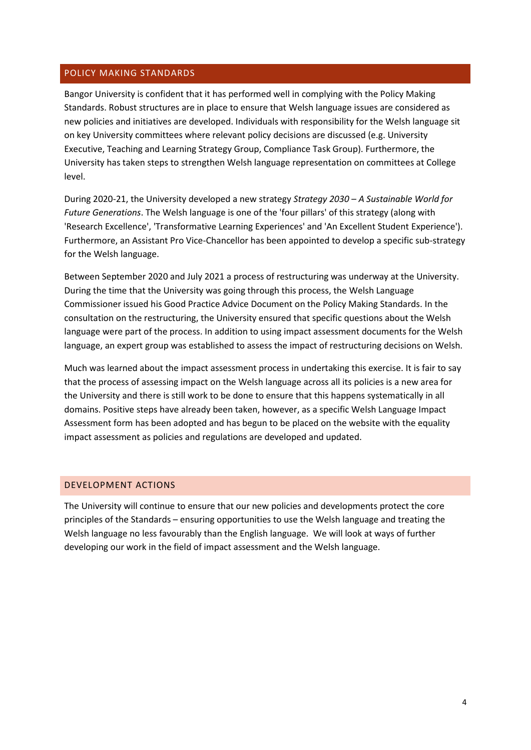# POLICY MAKING STANDARDS

Bangor University is confident that it has performed well in complying with the Policy Making Standards. Robust structures are in place to ensure that Welsh language issues are considered as new policies and initiatives are developed. Individuals with responsibility for the Welsh language sit on key University committees where relevant policy decisions are discussed (e.g. University Executive, Teaching and Learning Strategy Group, Compliance Task Group). Furthermore, the University has taken steps to strengthen Welsh language representation on committees at College level.

During 2020-21, the University developed a new strategy *Strategy 2030 – A Sustainable World for Future Generations*. The Welsh language is one of the 'four pillars' of this strategy (along with 'Research Excellence', 'Transformative Learning Experiences' and 'An Excellent Student Experience'). Furthermore, an Assistant Pro Vice-Chancellor has been appointed to develop a specific sub-strategy for the Welsh language.

Between September 2020 and July 2021 a process of restructuring was underway at the University. During the time that the University was going through this process, the Welsh Language Commissioner issued his Good Practice Advice Document on the Policy Making Standards. In the consultation on the restructuring, the University ensured that specific questions about the Welsh language were part of the process. In addition to using impact assessment documents for the Welsh language, an expert group was established to assess the impact of restructuring decisions on Welsh.

Much was learned about the impact assessment process in undertaking this exercise. It is fair to say that the process of assessing impact on the Welsh language across all its policies is a new area for the University and there is still work to be done to ensure that this happens systematically in all domains. Positive steps have already been taken, however, as a specific Welsh Language Impact Assessment form has been adopted and has begun to be placed on the website with the equality impact assessment as policies and regulations are developed and updated.

#### DEVELOPMENT ACTIONS

The University will continue to ensure that our new policies and developments protect the core principles of the Standards – ensuring opportunities to use the Welsh language and treating the Welsh language no less favourably than the English language. We will look at ways of further developing our work in the field of impact assessment and the Welsh language.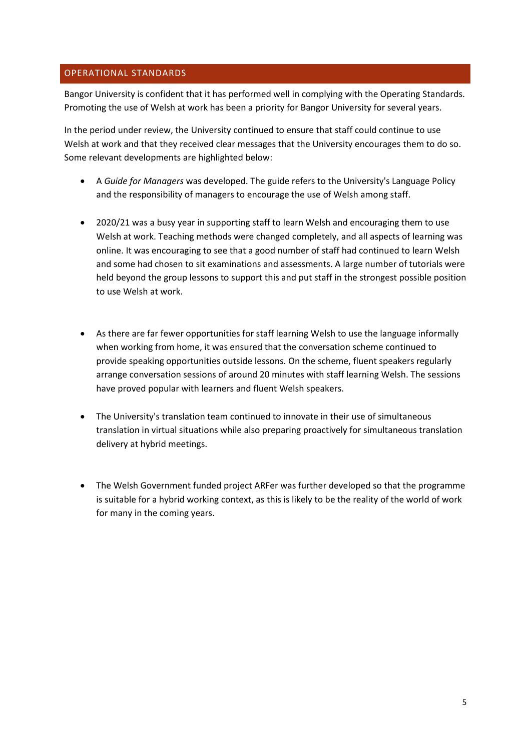# OPERATIONAL STANDARDS

Bangor University is confident that it has performed well in complying with the Operating Standards. Promoting the use of Welsh at work has been a priority for Bangor University for several years.

In the period under review, the University continued to ensure that staff could continue to use Welsh at work and that they received clear messages that the University encourages them to do so. Some relevant developments are highlighted below:

- A *Guide for Managers* was developed. The guide refers to the University's Language Policy and the responsibility of managers to encourage the use of Welsh among staff.
- 2020/21 was a busy year in supporting staff to learn Welsh and encouraging them to use Welsh at work. Teaching methods were changed completely, and all aspects of learning was online. It was encouraging to see that a good number of staff had continued to learn Welsh and some had chosen to sit examinations and assessments. A large number of tutorials were held beyond the group lessons to support this and put staff in the strongest possible position to use Welsh at work.
- As there are far fewer opportunities for staff learning Welsh to use the language informally when working from home, it was ensured that the conversation scheme continued to provide speaking opportunities outside lessons. On the scheme, fluent speakers regularly arrange conversation sessions of around 20 minutes with staff learning Welsh. The sessions have proved popular with learners and fluent Welsh speakers.
- The University's translation team continued to innovate in their use of simultaneous translation in virtual situations while also preparing proactively for simultaneous translation delivery at hybrid meetings.
- The Welsh Government funded project ARFer was further developed so that the programme is suitable for a hybrid working context, as this is likely to be the reality of the world of work for many in the coming years.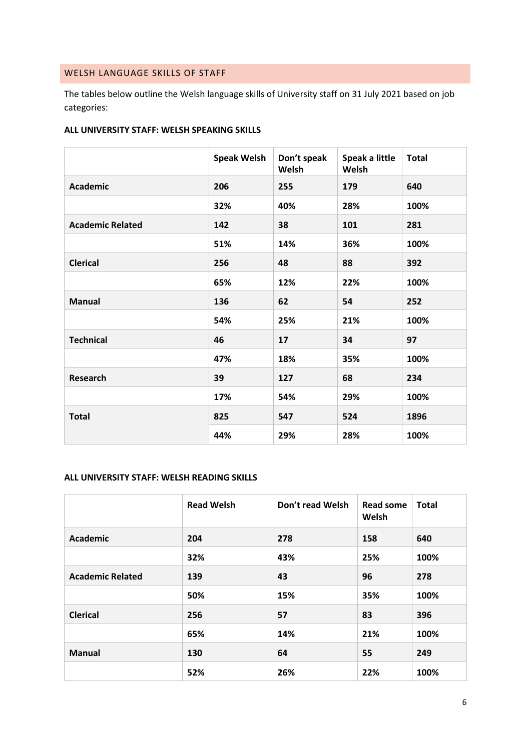# WELSH LANGUAGE SKILLS OF STAFF

The tables below outline the Welsh language skills of University staff on 31 July 2021 based on job categories:

### **ALL UNIVERSITY STAFF: WELSH SPEAKING SKILLS**

|                         | <b>Speak Welsh</b> | Don't speak<br>Welsh | Speak a little<br>Welsh | <b>Total</b> |
|-------------------------|--------------------|----------------------|-------------------------|--------------|
| <b>Academic</b>         | 206                | 255                  | 179                     | 640          |
|                         | 32%                | 40%                  | 28%                     | 100%         |
| <b>Academic Related</b> | 142                | 38                   | 101                     | 281          |
|                         | 51%                | 14%                  | 36%                     | 100%         |
| <b>Clerical</b>         | 256                | 48                   | 88                      | 392          |
|                         | 65%                | 12%                  | 22%                     | 100%         |
| <b>Manual</b>           | 136                | 62                   | 54                      | 252          |
|                         | 54%                | 25%                  | 21%                     | 100%         |
| <b>Technical</b>        | 46                 | 17                   | 34                      | 97           |
|                         | 47%                | 18%                  | 35%                     | 100%         |
| Research                | 39                 | 127                  | 68                      | 234          |
|                         | 17%                | 54%                  | 29%                     | 100%         |
| <b>Total</b>            | 825                | 547                  | 524                     | 1896         |
|                         | 44%                | 29%                  | 28%                     | 100%         |

# **ALL UNIVERSITY STAFF: WELSH READING SKILLS**

|                         | <b>Read Welsh</b> | Don't read Welsh | <b>Read some</b><br>Welsh | <b>Total</b> |
|-------------------------|-------------------|------------------|---------------------------|--------------|
| Academic                | 204               | 278              | 158                       | 640          |
|                         | 32%               | 43%              | 25%                       | 100%         |
| <b>Academic Related</b> | 139               | 43               | 96                        | 278          |
|                         | 50%               | 15%              | 35%                       | 100%         |
| <b>Clerical</b>         | 256               | 57               | 83                        | 396          |
|                         | 65%               | 14%              | 21%                       | 100%         |
| <b>Manual</b>           | 130               | 64               | 55                        | 249          |
|                         | 52%               | 26%              | 22%                       | 100%         |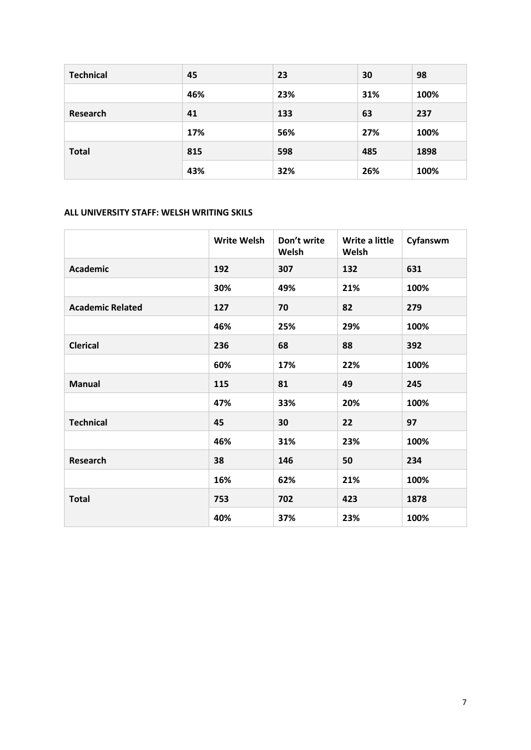| <b>Technical</b> | 45  | 23  | 30  | 98   |
|------------------|-----|-----|-----|------|
|                  | 46% | 23% | 31% | 100% |
| Research         | 41  | 133 | 63  | 237  |
|                  | 17% | 56% | 27% | 100% |
| <b>Total</b>     | 815 | 598 | 485 | 1898 |
|                  | 43% | 32% | 26% | 100% |

# **ALL UNIVERSITY STAFF: WELSH WRITING SKILS**

|                         | <b>Write Welsh</b> | Don't write<br>Welsh | Write a little<br>Welsh | Cyfanswm |
|-------------------------|--------------------|----------------------|-------------------------|----------|
| <b>Academic</b>         | 192                | 307                  | 132                     | 631      |
|                         | 30%                | 49%                  | 21%                     | 100%     |
| <b>Academic Related</b> | 127                | 70                   | 82                      | 279      |
|                         | 46%                | 25%                  | 29%                     | 100%     |
| <b>Clerical</b>         | 236                | 68                   | 88                      | 392      |
|                         | 60%                | 17%                  | 22%                     | 100%     |
| <b>Manual</b>           | 115                | 81                   | 49                      | 245      |
|                         | 47%                | 33%                  | 20%                     | 100%     |
| <b>Technical</b>        | 45                 | 30                   | 22                      | 97       |
|                         | 46%                | 31%                  | 23%                     | 100%     |
| <b>Research</b>         | 38                 | 146                  | 50                      | 234      |
|                         | 16%                | 62%                  | 21%                     | 100%     |
| <b>Total</b>            | 753                | 702                  | 423                     | 1878     |
|                         | 40%                | 37%                  | 23%                     | 100%     |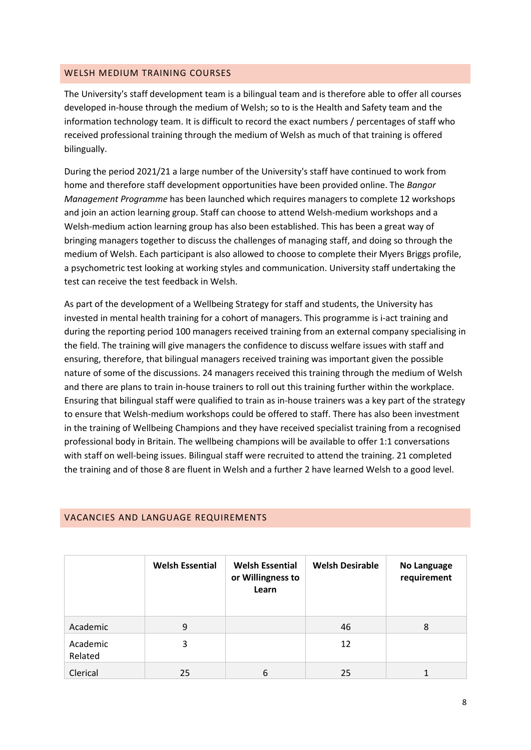#### WELSH MEDIUM TRAINING COURSES

The University's staff development team is a bilingual team and is therefore able to offer all courses developed in-house through the medium of Welsh; so to is the Health and Safety team and the information technology team. It is difficult to record the exact numbers / percentages of staff who received professional training through the medium of Welsh as much of that training is offered bilingually.

During the period 2021/21 a large number of the University's staff have continued to work from home and therefore staff development opportunities have been provided online. The *Bangor Management Programme* has been launched which requires managers to complete 12 workshops and join an action learning group. Staff can choose to attend Welsh-medium workshops and a Welsh-medium action learning group has also been established. This has been a great way of bringing managers together to discuss the challenges of managing staff, and doing so through the medium of Welsh. Each participant is also allowed to choose to complete their Myers Briggs profile, a psychometric test looking at working styles and communication. University staff undertaking the test can receive the test feedback in Welsh.

As part of the development of a Wellbeing Strategy for staff and students, the University has invested in mental health training for a cohort of managers. This programme is i-act training and during the reporting period 100 managers received training from an external company specialising in the field. The training will give managers the confidence to discuss welfare issues with staff and ensuring, therefore, that bilingual managers received training was important given the possible nature of some of the discussions. 24 managers received this training through the medium of Welsh and there are plans to train in-house trainers to roll out this training further within the workplace. Ensuring that bilingual staff were qualified to train as in-house trainers was a key part of the strategy to ensure that Welsh-medium workshops could be offered to staff. There has also been investment in the training of Wellbeing Champions and they have received specialist training from a recognised professional body in Britain. The wellbeing champions will be available to offer 1:1 conversations with staff on well-being issues. Bilingual staff were recruited to attend the training. 21 completed the training and of those 8 are fluent in Welsh and a further 2 have learned Welsh to a good level.

|                     | <b>Welsh Essential</b> | <b>Welsh Essential</b><br>or Willingness to<br>Learn | <b>Welsh Desirable</b> | <b>No Language</b><br>requirement |
|---------------------|------------------------|------------------------------------------------------|------------------------|-----------------------------------|
| Academic            | 9                      |                                                      | 46                     | 8                                 |
| Academic<br>Related | 3                      |                                                      | 12                     |                                   |
| Clerical            | 25                     | 6                                                    | 25                     |                                   |

# VACANCIES AND LANGUAGE REQUIREMENTS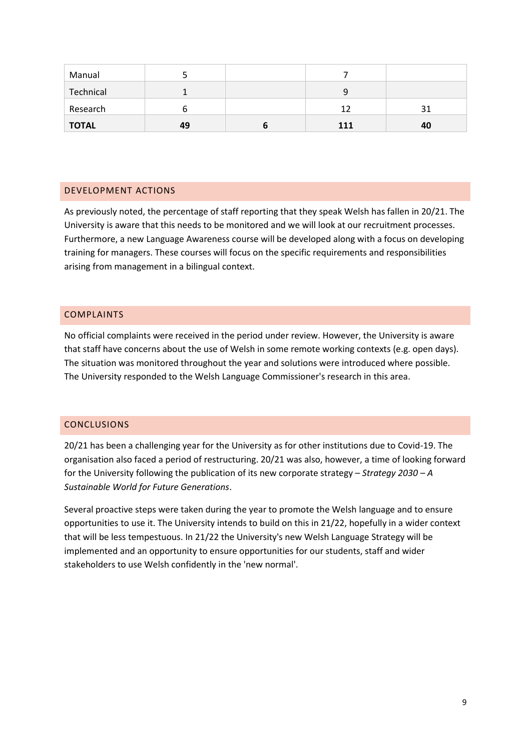| Manual       |    |     |    |
|--------------|----|-----|----|
| Technical    |    | 9   |    |
| Research     | O  | 12  |    |
| <b>TOTAL</b> | 49 | 111 | 40 |

# DEVELOPMENT ACTIONS

As previously noted, the percentage of staff reporting that they speak Welsh has fallen in 20/21. The University is aware that this needs to be monitored and we will look at our recruitment processes. Furthermore, a new Language Awareness course will be developed along with a focus on developing training for managers. These courses will focus on the specific requirements and responsibilities arising from management in a bilingual context.

# COMPLAINTS

No official complaints were received in the period under review. However, the University is aware that staff have concerns about the use of Welsh in some remote working contexts (e.g. open days). The situation was monitored throughout the year and solutions were introduced where possible. The University responded to the Welsh Language Commissioner's research in this area.

# **CONCLUSIONS**

20/21 has been a challenging year for the University as for other institutions due to Covid-19. The organisation also faced a period of restructuring. 20/21 was also, however, a time of looking forward for the University following the publication of its new corporate strategy – *Strategy 2030 – A Sustainable World for Future Generations*.

Several proactive steps were taken during the year to promote the Welsh language and to ensure opportunities to use it. The University intends to build on this in 21/22, hopefully in a wider context that will be less tempestuous. In 21/22 the University's new Welsh Language Strategy will be implemented and an opportunity to ensure opportunities for our students, staff and wider stakeholders to use Welsh confidently in the 'new normal'.